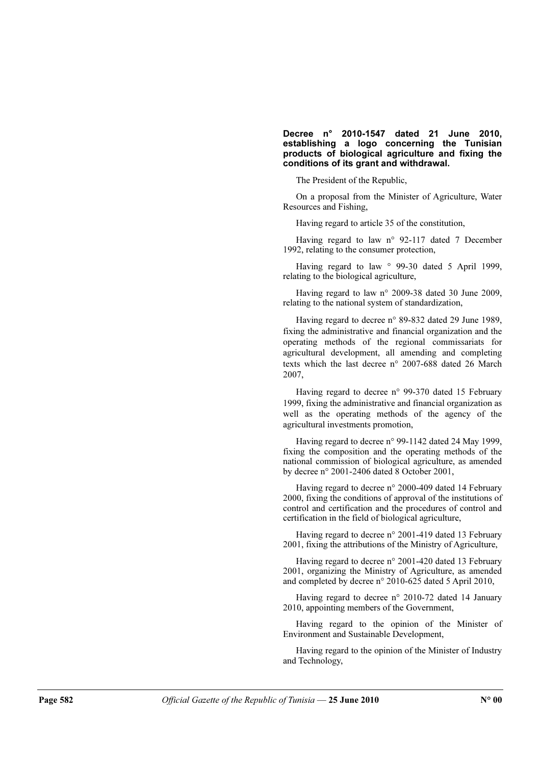## Decree n° 2010-1547 dated 21 June 2010, establishing a logo concerning the Tunisian products of biological agriculture and fixing the conditions of its grant and withdrawal.

The President of the Republic,

On a proposal from the Minister of Agriculture, Water Resources and Fishing,

Having regard to article 35 of the constitution,

Having regard to law n° 92-117 dated 7 December 1992, relating to the consumer protection,

Having regard to law  $\degree$  99-30 dated 5 April 1999, relating to the biological agriculture,

Having regard to law n° 2009-38 dated 30 June 2009, relating to the national system of standardization,

Having regard to decree n° 89-832 dated 29 June 1989, fixing the administrative and financial organization and the operating methods of the regional commissariats for agricultural development, all amending and completing texts which the last decree n° 2007-688 dated 26 March 2007,

Having regard to decree n° 99-370 dated 15 February 1999, fixing the administrative and financial organization as well as the operating methods of the agency of the agricultural investments promotion,

Having regard to decree n° 99-1142 dated 24 May 1999, fixing the composition and the operating methods of the national commission of biological agriculture, as amended by decree n° 2001-2406 dated 8 October 2001,

Having regard to decree n° 2000-409 dated 14 February 2000, fixing the conditions of approval of the institutions of control and certification and the procedures of control and certification in the field of biological agriculture,

Having regard to decree n° 2001-419 dated 13 February 2001, fixing the attributions of the Ministry of Agriculture,

Having regard to decree n° 2001-420 dated 13 February 2001, organizing the Ministry of Agriculture, as amended and completed by decree n° 2010-625 dated 5 April 2010,

Having regard to decree n° 2010-72 dated 14 January 2010, appointing members of the Government,

Having regard to the opinion of the Minister of Environment and Sustainable Development,

Having regard to the opinion of the Minister of Industry and Technology,